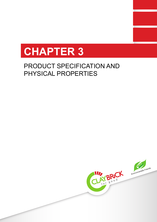

# PRODUCT SPECIFICATION AND PHYSICAL PROPERTIES

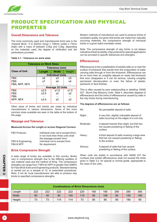

## PRODUCT SPECIFICATION AND PHYSICAL PROPERTIES

## **Overall Dimensions and Tolerance**

The most commonly used and manufactured brick size is the 'Imperial Brick'. It is 222mm (long) x 106mm (wide) x 73mm (high) with a mass of between 2,4kg and 3,3kg, depending on the materials used, the degree of vitrification and the perforations provided.

## **Table 3.1 - Tolerance on work sizes**

| <b>Tolerance on Work Sizes</b> |                         |        |      |  |  |  |
|--------------------------------|-------------------------|--------|------|--|--|--|
|                                | Tolerance (mm)          |        |      |  |  |  |
| <b>Class of Unit</b>           | Length                  | Height |      |  |  |  |
|                                | <b>Individual Units</b> |        |      |  |  |  |
| <b>FBX</b>                     | ±5                      | ±3     | ±3   |  |  |  |
| <b>FBS</b>                     | $+7$                    | $+4$   | $+4$ |  |  |  |
| FBA, NFP, NFX                  |                         |        |      |  |  |  |
|                                | <b>Average 32 Units</b> |        |      |  |  |  |
| <b>FBX</b>                     | ±2.5                    | ±1.5   | ±1.5 |  |  |  |
| <b>FBS</b>                     | ±3.5                    | $+2$   | $+2$ |  |  |  |
| <b>FBA</b>                     |                         |        |      |  |  |  |
| NFP, NFX                       | ±3.5                    | $+2$   | $+2$ |  |  |  |
|                                |                         |        |      |  |  |  |

Other sizes of bricks and blocks are made by individual manufacturers in various dimensions. Some of the more common sizes available are seen in the table at the bottom of this page.

## **Warpage and Tolerance**

## **Measured Across the Length or across Diagonal Corners:**

| FBX Products :                   | Individual units not to exceed 5mm:<br>in not more than three units shall |  |  |
|----------------------------------|---------------------------------------------------------------------------|--|--|
| FBS & Engineering:<br>FBA & NFP: | the warpage exceed 3mm<br>Individual not to exceed 5mm<br>No requirement  |  |  |

## **Brick Compressive Strength**

A wide range of bricks are available in this country. Bricks vary in compressive strength due to the differing qualities of raw material used and the method of firing. The compressive strengths can range from 7 MPa for NFP, to greater than 50MPa for Face Brick Extra and Engineering products. Standard testing is carried out on a sample of 12, to prescribed procedures. Most, if not all, local manufacturers are able to produce clay bricks to specified compressive strengths.

Modern methods of manufacture are used to produce bricks of consistent quality, but given that bricks are made from naturally occurring materials, the compressive strength of individual bricks in a given batch inevitably varies.

Note: The compressive strength of clay bricks is not always indicative of their durability. Clay products for special applications can be provided to specific tolerances and strengths.

## **Efflorescence**

Efflorescence is the crystallisation of soluble salts on or near the surface of brickwork that results from the evaporation of water carrying salts through or from the brickwork. Efflorescence can be no more than an unsightly deposit on newly laid brickwork that soon disappears or it can be serious, causing unsightly permanent discolouration or even the failure of plaster, paintwork or face finishes.

This is often caused by poor waterproofing or detailing. SANS 227 - Burnt Clay Masonry Units: Table 4 ,describes degrees of efflorescence and the limits of efflorescence caused by salts in the clay bricks during manufacturing.

## **The degrees of efflorescence are as follows:**

| Nil:      | No perceptible deposit of salts                                                                              |
|-----------|--------------------------------------------------------------------------------------------------------------|
| Slight:   | A very thin, slightly noticeable deposit of<br>salts occurring on the edges of a unit only                   |
| Moderate: | A deposit heavier than slight, but that has<br>not caused powdering or flaking of the<br>surface             |
| Heavy:    | A thick deposit of salts covering a large area<br>that has not caused powdering or flaking<br>to the surface |
| Serious:  | A deposit of salts that has caused<br>powdering or flaking of the surface.                                   |

When units are tested in accordance with SANS 227 the numbers that exhibit efflorescence shall not exceed the limits given in Table 3.2, for special or normal grade, appropriate to the class of the units.

|        |     |     |     |     |     | <b>Combinations of Brick Dimensions (mm)</b> |     |     |     |     |
|--------|-----|-----|-----|-----|-----|----------------------------------------------|-----|-----|-----|-----|
| Length | 222 | 222 | 222 | 222 | 220 | 190                                          | 190 | 290 | 290 | 390 |
| Width  | 90  | 40  | 90  | 140 | 110 | 90                                           | 106 | 90  | 150 | 190 |
| Height | 73  | 73  | 114 | 114 | 73  | 90                                           | 90  | 90  | 190 | 90  |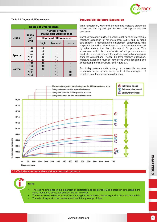

## **Table 3.2 Degree of Efflorescence**

| <b>Degree of Efflorescence</b> |                   |                                                      |          |       |  |  |  |
|--------------------------------|-------------------|------------------------------------------------------|----------|-------|--|--|--|
|                                | <b>Class</b>      | <b>Number of Units</b><br>that Exhibit Efflorescence |          |       |  |  |  |
| Grade                          | οf<br><b>Unit</b> | <b>Degree of Efflorescence</b>                       |          |       |  |  |  |
|                                |                   | Slight                                               | Moderate | Heavy |  |  |  |
|                                | <b>FBS</b>        | 20                                                   |          |       |  |  |  |
| <b>Special</b>                 | <b>FBX</b>        | 20                                                   |          |       |  |  |  |
|                                | <b>FBA</b>        | 20                                                   |          |       |  |  |  |
|                                | <b>NFP</b>        | 10                                                   | 10       |       |  |  |  |
|                                | <b>NFX</b>        | 10                                                   | 10       |       |  |  |  |
|                                | <b>FBS</b>        | 10                                                   | 10       |       |  |  |  |
| <b>Normal</b>                  | <b>FBX</b>        | 10                                                   | 10       |       |  |  |  |
|                                | <b>FBA</b>        | 10                                                   | 10       |       |  |  |  |
|                                | <b>NFP</b>        |                                                      | 10       | 10    |  |  |  |
|                                | <b>NFX</b>        |                                                      | 10       | 10    |  |  |  |

## **Irreversible Moisture Expansion**

Water absorption, water-soluble salts and moisture expansion values are best agreed upon between the supplier and the purchaser.

Burnt clay masonry units, in general, shall have an irreversible moisture expansion of not more than 0,20% and, in faced applications, a demonstrated satisfactory performance with respect to durability, unless it can be reasonably demonstrated by other means that the units are fit for purpose. This expansion, which is characteristic of all porous ceramic products, commences once the unit starts absorbing moisture from the atmosphere - hence the term moisture expansion. Moisture expansion must be considered when designing and constructing a brick structure. See Figure 3.1.

Burnt clay masonry units undergo an irreversible moisture expansion, which occurs as a result of the absorption of moisture from the atmosphere after firing.



## 3.1 - Typical rates of irreversible moisture expansion in brickwork



- There is no difference in the expansion of perforated and solid bricks. Bricks stored in air expand in the same manner as bricks cooled from the kiln in a drier.
- There are no cost-effective ways of accelerating the irreversible moisture expansion of ceramic materials.
- The rate of expansion decreases steadily with the passage of time.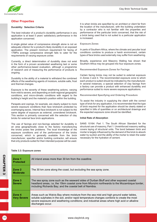

## **Other Properties**

## **Durability: Selection Criteria**

The best indicator of a product's durability performance in any application is at least 5 years' satisfactory performance in the application concerned.

A single global value of compressive strength alone is not an adequate criterion for a product's likely durability in an exposed application. The present minimum requirement for facing of 17MPa average compressive strength fails to cater for the requirements of varying exposure zones

Currently, a direct determination of durability does not exist in the form of a proven accelerated weathering test or some other performance-based evaluation, although a programme of research and of measuring the performance of products is ongoing.

Durability is the ability of a material to withstand the combined effects of the weathering agents of moisture, soluble salts, frost and thermal changes.

Exposure is the severity of these weathering actions, varying from mild to severe, and depending on both regional geographic conditions, and micro-climatic conditions with regard to the building's height and the material's position within the building.

Parapets and copings, for example, are clearly subject to more severe exposure conditions than face brickwork protected by overhanging eaves. Internal face brickwork is not subject to the same degree of exposure as external, unrendered brickwork. This section is primarily concerned with the selection of clay bricks for external face brick applications.

The use of facings and non-facings selected for durability in an area geographically close to the factory manufacturing the bricks poses few problems. The local knowledge of the exposure conditions and of the performance of the bricks concerned, which is generally available from the brick manufacturer, specifier and/or building contractor, will ensure that only products suited for their intended purpose will be used.

It is when bricks are specified by an architect or client far from the location of the manufacturer, with the building undertaken by a contractor who is not familiar with the properties and performance of the particular brick concerned, that the risk of a brick being used that is not suited to a particular application is increased.

#### **Exposure Zones**

In parts of Southern Africa, where the climate and peculiar local conditions combine to produce a harsh environment, certain types of face bricks used externally may suffer from weathering.

Broadly, experience and Masonry Walling has shown that Southern Africa may be grouped into four exposure zones.

**Recommended Exposure Zones for Facings** 

Certain facing bricks may not be suited to external exposure in Zones 3 and 4. The recommended exposure zone to which each product is suited should be indicated by the manufacturer. In several instances, a special selection of clay facings from a factory can provide a product with enhanced durability and performance suited to more severe exposure applications.

**Recommended Specifying and Ordering Procedure** 

To assist the industry in supplying the client with the correct type of brick for any application, it is recommended that the type of brick required for the application should be clearly stated or specified in bills of quantities or on architectural drawings and the expected exposure zone should be identified.

#### **Initial Rate of Absorption**

SANS 10164: Part 1. The South African Standard for the structural use of masonry, Part 1: Unreinforced masonry walling covers laying of structural units. The bond between brick and mortar is largely influenced by the demand of the brick to absorb water by suction and the ability of the mortar to retain the water necessary for the hydration of cement.

#### **Table 3.3: Exposure zones**

| Zone 1<br><b>Protected</b>   | All inland areas more than 30 km from the coastline.                                                                                                                                                                                                                                                      |
|------------------------------|-----------------------------------------------------------------------------------------------------------------------------------------------------------------------------------------------------------------------------------------------------------------------------------------------------------|
| Zone 2<br><b>Moderate</b>    | The 30 km zone along the coast, but excluding the sea spray zone.                                                                                                                                                                                                                                         |
| Zone 3<br><b>Severe</b>      | The sea spray zone such as the seaward sides of Durban Bluff and other exposed coastal<br>headland areas, i.e. the 15km coastal zone from Mtunzini northwards to the Mozambique border,<br>including Richards Bay; and the coastal belt of Namibia.                                                       |
| Zone 4<br><b>Very Severe</b> | Areas such as Walvis Bay where moisture from the sea mist and high ground water tables,<br>soluble sulphates in the soil, and/or rapid temperature changes combine to create the most<br>severe exposure and weathering conditions; and industrial areas where high acid or alkaline<br>discharges occur. |

CHAPTER 3

**CHAPTER**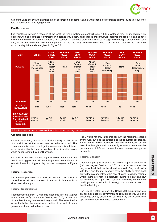

Structural units of clay with an initial rate of absorption exceeding 1,8kg/m².min should be moistened prior to laying to reduce the rate to between 0,7 and 1,8kg/m<sup>2</sup>.min.

#### **Fire Resistance**

Fire resistance rating is a measure of the length of time a walling element will resist a fully developed fire. Failure occurs in an element when its resistance is overcome in a defined way. Firstly, if it collapses or its structural ability is Impaired, it is said to have failed at the time of collapse. Secondly, a wall can fail if it develops cracks and fissures through which hot gas or flame can pass and, thirdly, an element can fail if the temperature on the side away from the fire exceeds a certain level. Values of fire resistance of typical clay brick walls are given in Figure 3.2.



3.2 - Fire resistance and acoustic insulation values for clay brick walls

## **Acoustic Insulation**

Acoustic insulation, measured in decibels (dB), is the ability of a wall to resist the transmission of airborne sound. The measurement is based on a logarithmic scale and is not linear, which implies that halving or doubling of the insulation value would be represented by a 6dB change.

As mass is the best defence against noise penetration, the heavier walling products will generally perform better. Values of acoustic insulation of typical clay brick walls are given in Figure 2.

## **Thermal Properties**

The thermal properties of a wall are related to its ability to transmit or resist the movement of heat and to its capacity to store thermal energy.

## **Thermal Transmittance**

Thermal transmittance, (U-value) is measured in Watts (W) per square metre (m<sup>2</sup>) per degree Celsius, W/m<sup>2</sup> °C, as the rate of heat flow through an element, e.g. a wall. The lower the Uvalue, the better the insulation properties of the wall: it has a greater resistance to the flow of heat.

The U value not only takes into account the resistance offered by the wall, but also the outside and inside surface resistance. Since the U- value notionally provides a measure of the heat flow through a wall, it is the figure used to compare the performance of different constructions and to make energy-use calculations.

#### **Thermal Capacity**

tion, the Thermal Capacity<br>
Values of<br>
In Figure Thermal capacity is measured in Joules (J) per square metre<br>
(m<sup>2</sup>) per degree Celsius, J/m<sup>2</sup> °C, and is a measure of the<br>
degree of heat that can be stored by a wall. Cla Thermal capacity is measured in Joules (J) per square metre  $(m<sup>2</sup>)$  per degree Celsius, J/m<sup>2</sup> °C, and is a measure of the degree of heat that can be stored by a wall. Clay brick walls with their high thermal capacity have the ability to store heat during the day and release this heat at night. In climatic regions where there are high temperatures during the day and low temperatures at night, this results in thermally comfortable dwellings with a reduction in energy consumption to cool or heat the buildings.

The SANS 10400-XA and the SANS 204 Regulations are an attempt made by government to regulate energy use and encourage energy efficiency in building. Clay brick walls where applicable comply with these requirements.